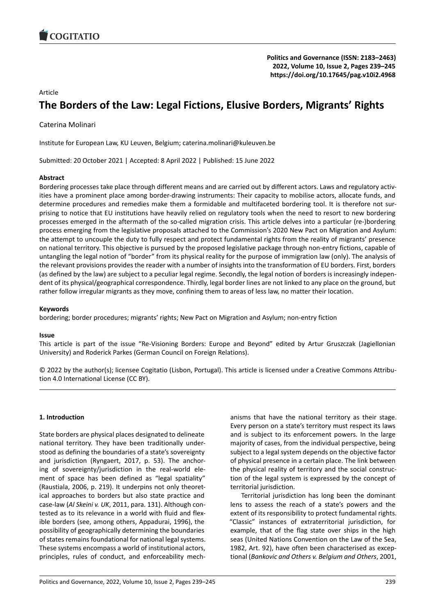# Article

# **The Borders of the Law: Legal Fictions, Elusive B[orders, Migrants' Rights](https://doi.org/10.17645/pag.v10i2.4968)**

Caterina Molinari

Institute for European Law, KU Leuven, Belgium; caterina.molinari@kuleuven.be

Submitted: 20 October 2021 | Accepted: 8 April 2022 | Published: 15 June 2022

### **Abstract**

Bordering processes take place through different means and are carried out by different actors. Laws and regulatory activities have a prominent place among border‐drawing instruments: Their capacity to mobilise actors, allocate funds, and determine procedures and remedies make them a formidable and multifaceted bordering tool. It is therefore not surprising to notice that EU institutions have heavily relied on regulatory tools when the need to resort to new bordering processes emerged in the aftermath of the so-called migration crisis. This article delves into a particular (re-)bordering process emerging from the legislative proposals attached to the Commission's 2020 New Pact on Migration and Asylum: the attempt to uncouple the duty to fully respect and protect fundamental rights from the reality of migrants' presence on national territory. This objective is pursued by the proposed legislative package through non‐entry fictions, capable of untangling the legal notion of "border" from its physical reality for the purpose of immigration law (only). The analysis of the relevant provisions provides the reader with a number of insights into the transformation of EU borders. First, borders (as defined by the law) are subject to a peculiar legal regime. Secondly, the legal notion of borders is increasingly indepen‐ dent of its physical/geographical correspondence. Thirdly, legal border lines are not linked to any place on the ground, but rather follow irregular migrants as they move, confining them to areas of less law, no matter their location.

#### **Keywords**

bordering; border procedures; migrants' rights; New Pact on Migration and Asylum; non-entry fiction

#### **Issue**

This article is part of the issue "Re‐Visioning Borders: Europe and Beyond" edited by Artur Gruszczak (Jagiellonian University) and Roderick Parkes (German Council on Foreign Relations).

© 2022 by the author(s); licensee Cogitatio (Lisbon, Portugal). This article is licensed under a Creative Commons Attribu‐ tion 4.0 International License (CC BY).

#### **1. Introduction**

State borders are physical places designated to delineate national territory. They have been traditionally under‐ stood as defining the boundaries of a state's sovereignty and jurisdiction (Ryngaert, 2017, p. 53). The anchor‐ ing of sovereignty/jurisdiction in the real‐world ele‐ ment of space has been defined as "legal spatiality" (Raustiala, 2006, p. 219). It underpins not only theoret‐ ical approaches to borders but also state practice and case‐law (*Al Skeini v. UK*, 2011, para. 131). Although con‐ tested as to its relevance in a world with fluid and flex‐ ible borders (see, among others, Appadurai, 1996), the possibility of geographically determining the boundaries of states remains foundational for national legal systems. These systems encompass a world of institutional actors, principles, rules of conduct, and enforceability mech‐ anisms that have the national territory as their stage. Every person on a state's territory must respect its laws and is subject to its enforcement powers. In the large majority of cases, from the individual perspective, being subject to a legal system depends on the objective factor of physical presence in a certain place. The link between the physical reality of territory and the social construc‐ tion of the legal system is expressed by the concept of territorial jurisdiction.

Territorial jurisdiction has long been the dominant lens to assess the reach of a state's powers and the extent of its responsibility to protect fundamental rights. "Classic" instances of extraterritorial jurisdiction, for example, that of the flag state over ships in the high seas (United Nations Convention on the Law of the Sea, 1982, Art. 92), have often been characterised as excep‐ tional (*Bankovic and Others v. Belgium and Others*, 2001,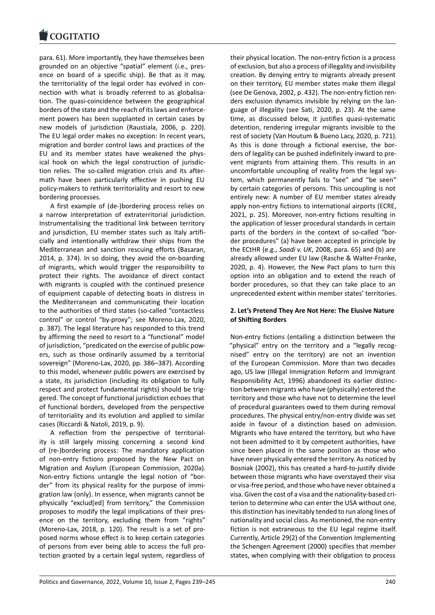para. 61). More importantly, they have themselves been [grounded on an obj](https://www.cogitatiopress.com)ective "spatial" element (i.e., pres‐ ence on board of a specific ship). Be that as it may, the territoriality of the legal order has evolved in con‐ nection with what is broadly referred to as globalisation. The quasi‐coincidence between the geographical borders of the state and the reach of its laws and enforce‐ ment powers has been supplanted in certain cases by new models of jurisdiction (Raustiala, 2006, p. 220). The EU legal order makes no exception: In recent years, migration and border control laws and practices of the EU and its member states have weakened the phys‐ ical hook on which the legal construction of jurisdic‐ tion relies. The so-called migration crisis and its aftermath have been particularly effective in pushing EU policy‐makers to rethink territoriality and resort to new bordering processes.

A first example of (de‐)bordering process relies on a narrow interpretation of extraterritorial jurisdiction. Instrumentalising the traditional link between territory and jurisdiction, EU member states such as Italy artifi‐ cially and intentionally withdraw their ships from the Mediterranean and sanction rescuing efforts (Basaran, 2014, p. 374). In so doing, they avoid the on‐boarding of migrants, which would trigger the responsibility to protect their rights. The avoidance of direct contact with migrants is coupled with the continued presence of equipment capable of detecting boats in distress in the Mediterranean and communicating their location to the authorities of third states (so‐called "contactless control" or control "by‐proxy"; see Moreno‐Lax, 2020, p. 387). The legal literature has responded to this trend by affirming the need to resort to a "functional" model of jurisdiction, "predicated on the exercise of public pow‐ ers, such as those ordinarily assumed by a territorial sovereign" (Moreno‐Lax, 2020, pp. 386–387). According to this model, whenever public powers are exercised by a state, its jurisdiction (including its obligation to fully respect and protect fundamental rights) should be trig‐ gered. The concept of functional jurisdiction echoes that of functional borders, developed from the perspective of territoriality and its evolution and applied to similar cases (Riccardi & Natoli, 2019, p. 9).

A reflection from the perspective of territorial‐ ity is still largely missing concerning a second kind of (re‐)bordering process: The mandatory application of non-entry fictions proposed by the New Pact on Migration and Asylum (European Commission, 2020a). Non‐entry fictions untangle the legal notion of "bor‐ der" from its physical reality for the purpose of immi‐ gration law (only). In essence, when migrants cannot be physically "exclud[ed] from territory," the Commission proposes to modify the legal implications of their pres‐ ence on the territory, excluding them from "rights" (Moreno‐Lax, 2018, p. 120). The result is a set of pro‐ posed norms whose effect is to keep certain categories of persons from ever being able to access the full pro‐ tection granted by a certain legal system, regardless of their physical location. The non‐entry fiction is a process of exclusion, but also a process of illegality and invisibility creation. By denying entry to migrants already present on their territory, EU member states make them illegal (see De Genova, 2002, p. 432). The non‐entry fiction ren‐ ders exclusion dynamics invisible by relying on the lan‐ guage of illegality (see Sati, 2020, p. 23). At the same time, as discussed below, it justifies quasi‐systematic detention, rendering irregular migrants invisible to the rest of society (Van Houtum & Bueno Lacy, 2020, p. 721). As this is done through a fictional exercise, the bor‐ ders of legality can be pushed indefinitely inward to pre‐ vent migrants from attaining them. This results in an uncomfortable uncoupling of reality from the legal sys‐ tem, which permanently fails to "see" and "be seen" by certain categories of persons. This uncoupling is not entirely new: A number of EU member states already apply non‐entry fictions to international airports (ECRE, 2021, p. 25). Moreover, non‐entry fictions resulting in the application of lesser procedural standards in certain parts of the borders in the context of so-called "border procedures" (a) have been accepted in principle by the ECtHR (e.g., *Saadi v. UK*, 2008, para. 65) and (b) are already allowed under EU law (Rasche & Walter‐Franke, 2020, p. 4). However, the New Pact plans to turn this option into an obligation and to extend the reach of border procedures, so that they can take place to an unprecedented extent within member states' territories.

### **2. Let's Pretend They Are Not Here: The Elusive Nature of Shifting Borders**

Non‐entry fictions (entailing a distinction between the "physical" entry on the territory and a "legally recog‐ nised" entry on the territory) are not an invention of the European Commission. More than two decades ago, US law (Illegal Immigration Reform and Immigrant Responsibility Act, 1996) abandoned its earlier distinc‐ tion between migrants who have (physically) entered the territory and those who have not to determine the level of procedural guarantees owed to them during removal procedures. The physical entry/non‐entry divide was set aside in favour of a distinction based on admission. Migrants who have entered the territory, but who have not been admitted to it by competent authorities, have since been placed in the same position as those who have never physically entered the territory. As noticed by Bosniak (2002), this has created a hard‐to‐justify divide between those migrants who have overstayed their visa or visa‐free period, and those who have never obtained a visa. Given the cost of a visa and the nationality‐based cri‐ terion to determine who can enter the USA without one, this distinction has inevitably tended to run along lines of nationality and social class. As mentioned, the non‐entry fiction is not extraneous to the EU legal regime itself. Currently, Article 29(2) of the Convention Implementing the Schengen Agreement (2000) specifies that member states, when complying with their obligation to process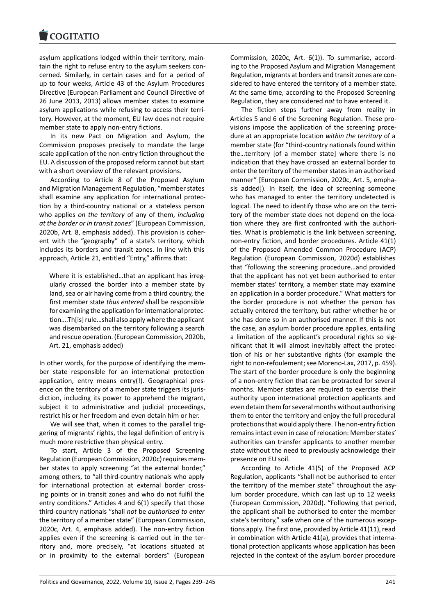#### **LOGITATIO**

asylum applications lodged within their territory, main‐ [tain the right to refu](https://www.cogitatiopress.com)se entry to the asylum seekers con‐ cerned. Similarly, in certain cases and for a period of up to four weeks, Article 43 of the Asylum Procedures Directive (European Parliament and Council Directive of 26 June 2013, 2013) allows member states to examine asylum applications while refusing to access their terri‐ tory. However, at the moment, EU law does not require member state to apply non-entry fictions.

In its new Pact on Migration and Asylum, the Commission proposes precisely to mandate the large scale application of the non‐entry fiction throughout the EU. A discussion of the proposed reform cannot but start with a short overview of the relevant provisions.

According to Article 8 of the Proposed Asylum and Migration Management Regulation, "member states shall examine any application for international protec‐ tion by a third‐country national or a stateless person who applies *on the territory* of any of them, *including at the border or in transit zones*" (European Commission, 2020b, Art. 8, emphasis added). This provision is coher‐ ent with the "geography" of a state's territory, which includes its borders and transit zones. In line with this approach, Article 21, entitled "Entry," affirms that:

Where it is established...that an applicant has irregularly crossed the border into a member state by land, sea or air having come from a third country, the first member state *thus entered* shall be responsible for examining the application for international protec‐ tion….Th[is] rule…shall also apply where the applicant was disembarked on the territory following a search and rescue operation. (European Commission, 2020b, Art. 21, emphasis added)

In other words, for the purpose of identifying the mem‐ ber state responsible for an international protection application, entry means entry(!). Geographical pres‐ ence on the territory of a member state triggers its juris‐ diction, including its power to apprehend the migrant, subject it to administrative and judicial proceedings, restrict his or her freedom and even detain him or her.

We will see that, when it comes to the parallel triggering of migrants' rights, the legal definition of entry is much more restrictive than physical entry.

To start, Article 3 of the Proposed Screening Regulation (European Commission, 2020c) requires mem‐ ber states to apply screening "at the external border," among others, to "all third‐country nationals who apply for international protection at external border crossing points or in transit zones and who do not fulfil the entry conditions." Articles 4 and 6(1) specify that those third‐country nationals "shall *not* be *authorised to enter* the territory of a member state" (European Commission, 2020c, Art. 4, emphasis added). The non‐entry fiction applies even if the screening is carried out in the territory and, more precisely, "at locations situated at or in proximity to the external borders" (European

Commission, 2020c, Art. 6(1)). To summarise, accord‐ ing to the Proposed Asylum and Migration Management Regulation, migrants at borders and transit zones are con‐ sidered to have entered the territory of a member state. At the same time, according to the Proposed Screening Regulation, they are considered *not* to have entered it.

The fiction steps further away from reality in Articles 5 and 6 of the Screening Regulation. These pro‐ visions impose the application of the screening proce‐ dure at an appropriate location *within the territory* of a member state (for "third‐country nationals found within the…territory [of a member state] where there is no indication that they have crossed an external border to enter the territory of the member states in an authorised manner" [European Commission, 2020c, Art. 5, empha‐ sis added]). In itself, the idea of screening someone who has managed to enter the territory undetected is logical. The need to identify those who are on the terri‐ tory of the member state does not depend on the loca‐ tion where they are first confronted with the authori‐ ties. What is problematic is the link between screening, non‐entry fiction, and border procedures. Article 41(1) of the Proposed Amended Common Procedure (ACP) Regulation (European Commission, 2020d) establishes that "following the screening procedure…and provided that the applicant has not yet been authorised to enter member states' territory, a member state may examine an application in a border procedure." What matters for the border procedure is not whether the person has actually entered the territory, but rather whether he or she has done so in an authorised manner. If this is not the case, an asylum border procedure applies, entailing a limitation of the applicant's procedural rights so sig‐ nificant that it will almost inevitably affect the protec‐ tion of his or her substantive rights (for example the right to non‐refoulement; see Moreno‐Lax, 2017, p. 459). The start of the border procedure is only the beginning of a non‐entry fiction that can be protracted for several months. Member states are required to exercise their authority upon international protection applicants and even detain them for several months without authorising them to enter the territory and enjoy the full procedural protections that would apply there. The non‐entry fiction remains intact even in case of relocation: Member states' authorities can transfer applicants to another member state without the need to previously acknowledge their presence on EU soil.

According to Article 41(5) of the Proposed ACP Regulation, applicants "shall not be authorised to enter the territory of the member state" throughout the asy‐ lum border procedure, which can last up to 12 weeks (European Commission, 2020d). "Following that period, the applicant shall be authorised to enter the member state's territory," safe when one of the numerous excep‐ tions apply. The first one, provided by Article 41(11), read in combination with Article 41(a), provides that international protection applicants whose application has been rejected in the context of the asylum border procedure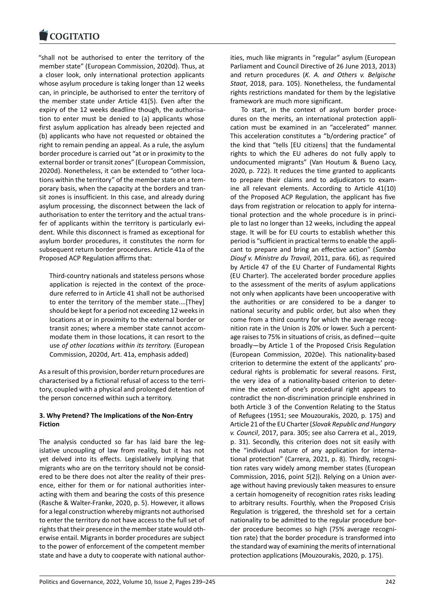#### COGHALIO

"shall not be authorised to enter the territory of the [member state" \(Euro](https://www.cogitatiopress.com)pean Commission, 2020d). Thus, at a closer look, only international protection applicants whose asylum procedure is taking longer than 12 weeks can, in principle, be authorised to enter the territory of the member state under Article 41(5). Even after the expiry of the 12 weeks deadline though, the authorisation to enter must be denied to (a) applicants whose first asylum application has already been rejected and (b) applicants who have not requested or obtained the right to remain pending an appeal. As a rule, the asylum border procedure is carried out "at or in proximity to the external border or transit zones" (European Commission, 2020d). Nonetheless, it can be extended to "other loca‐ tions within the territory" of the member state on a tem‐ porary basis, when the capacity at the borders and tran‐ sit zones is insufficient. In this case, and already during asylum processing, the disconnect between the lack of authorisation to enter the territory and the actual trans‐ fer of applicants within the territory is particularly evident. While this disconnect is framed as exceptional for asylum border procedures, it constitutes the norm for subsequent return border procedures. Article 41a of the Proposed ACP Regulation affirms that:

Third‐country nationals and stateless persons whose application is rejected in the context of the proce‐ dure referred to in Article 41 shall not be authorised to enter the territory of the member state.…[They] should be kept for a period not exceeding 12 weeks in locations at or in proximity to the external border or transit zones; where a member state cannot accom‐ modate them in those locations, it can resort to the use *of other locations within its territory.* (European Commission, 2020d, Art. 41a, emphasis added)

As a result of this provision, border return procedures are characterised by a fictional refusal of access to the terri‐ tory, coupled with a physical and prolonged detention of the person concerned within such a territory.

### **3. Why Pretend? The Implications of the Non‐Entry Fiction**

The analysis conducted so far has laid bare the legislative uncoupling of law from reality, but it has not yet delved into its effects. Legislatively implying that migrants who are on the territory should not be consid‐ ered to be there does not alter the reality of their pres‐ ence, either for them or for national authorities inter‐ acting with them and bearing the costs of this presence (Rasche & Walter‐Franke, 2020, p. 5). However, it allows for a legal construction whereby migrants not authorised to enter the territory do not have access to the full set of rights that their presence in the member state would oth‐ erwise entail. Migrants in border procedures are subject to the power of enforcement of the competent member state and have a duty to cooperate with national author‐ ities, much like migrants in "regular" asylum (European Parliament and Council Directive of 26 June 2013, 2013) and return procedures (*K. A. and Others v. Belgische Staat*, 2018, para. 105). Nonetheless, the fundamental rights restrictions mandated for them by the legislative framework are much more significant.

To start, in the context of asylum border proce‐ dures on the merits, an international protection appli‐ cation must be examined in an "accelerated" manner. This acceleration constitutes a "b/ordering practice" of the kind that "tells [EU citizens] that the fundamental rights to which the EU adheres do not fully apply to undocumented migrants" (Van Houtum & Bueno Lacy, 2020, p. 722). It reduces the time granted to applicants to prepare their claims and to adjudicators to exam‐ ine all relevant elements. According to Article 41(10) of the Proposed ACP Regulation, the applicant has five days from registration or relocation to apply for interna‐ tional protection and the whole procedure is in princi‐ ple to last no longer than 12 weeks, including the appeal stage. It will be for EU courts to establish whether this period is "sufficient in practical terms to enable the appli‐ cant to prepare and bring an effective action" (*Samba Diouf v. Ministre du Travail*, 2011, para. 66), as required by Article 47 of the EU Charter of Fundamental Rights (EU Charter). The accelerated border procedure applies to the assessment of the merits of asylum applications not only when applicants have been uncooperative with the authorities or are considered to be a danger to national security and public order, but also when they come from a third country for which the average recog‐ nition rate in the Union is 20% or lower. Such a percent‐ age raises to 75% in situations of crisis, as defined—quite broadly—by Article 1 of the Proposed Crisis Regulation (European Commission, 2020e). This nationality‐based criterion to determine the extent of the applicants' pro‐ cedural rights is problematic for several reasons. First, the very idea of a nationality‐based criterion to deter‐ mine the extent of one's procedural right appears to contradict the non‐discrimination principle enshrined in both Article 3 of the Convention Relating to the Status of Refugees (1951; see Mouzourakis, 2020, p. 175) and Article 21 of the EU Charter (*Slovak Republic and Hungary v. Council*, 2017, para. 305; see also Carrera et al., 2019, p. 31). Secondly, this criterion does not sit easily with the "individual nature of any application for interna‐ tional protection" (Carrera, 2021, p. 8). Thirdly, recogni‐ tion rates vary widely among member states (European Commission, 2016, point *5*(2)). Relying on a Union aver‐ age without having previously taken measures to ensure a certain homogeneity of recognition rates risks leading to arbitrary results. Fourthly, when the Proposed Crisis Regulation is triggered, the threshold set for a certain nationality to be admitted to the regular procedure bor‐ der procedure becomes so high (75% average recogni‐ tion rate) that the border procedure is transformed into the standard way of examining the merits of international protection applications (Mouzourakis, 2020, p. 175).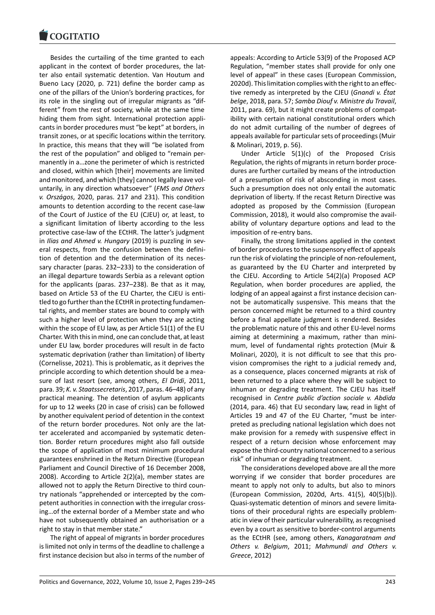#### COGHALIO

Besides the curtailing of the time granted to each [applicant in the con](https://www.cogitatiopress.com)text of border procedures, the latter also entail systematic detention. Van Houtum and Bueno Lacy (2020, p. 721) define the border camp as one of the pillars of the Union's bordering practices, for its role in the singling out of irregular migrants as "dif‐ ferent" from the rest of society, while at the same time hiding them from sight. International protection appli‐ cants in border procedures must "be kept" at borders, in transit zones, or at specific locations within the territory. In practice, this means that they will "be isolated from the rest of the population" and obliged to "remain per‐ manently in a…zone the perimeter of which is restricted and closed, within which [their] movements are limited and monitored, and which [they] cannot legally leave vol‐ untarily, in any direction whatsoever" (*FMS and Others v. Országos*, 2020, paras. 217 and 231). This condition amounts to detention according to the recent case‐law of the Court of Justice of the EU (CJEU) or, at least, to a significant limitation of liberty according to the less protective case‐law of the ECtHR. The latter's judgment in *Ilias and Ahmed v. Hungary* (2019) is puzzling in several respects, from the confusion between the defini‐ tion of detention and the determination of its neces‐ sary character (paras. 232–233) to the consideration of an illegal departure towards Serbia as a relevant option for the applicants (paras. 237–238). Be that as it may, based on Article 53 of the EU Charter, the CJEU is enti‐ tled to go further than the ECtHR in protecting fundamen‐ tal rights, and member states are bound to comply with such a higher level of protection when they are acting within the scope of EU law, as per Article 51(1) of the EU Charter. With this in mind, one can conclude that, at least under EU law, border procedures will result in de facto systematic deprivation (rather than limitation) of liberty (Cornelisse, 2021). This is problematic, as it deprives the principle according to which detention should be a mea‐ sure of last resort (see, among others, *El Dridi*, 2011, para. 39; *K. v. Staatssecretaris*, 2017, paras. 46–48) of any practical meaning. The detention of asylum applicants for up to 12 weeks (20 in case of crisis) can be followed by another equivalent period of detention in the context of the return border procedures. Not only are the lat‐ ter accelerated and accompanied by systematic deten‐ tion. Border return procedures might also fall outside the scope of application of most minimum procedural guarantees enshrined in the Return Directive (European Parliament and Council Directive of 16 December 2008, 2008). According to Article 2(2)(a), member states are allowed not to apply the Return Directive to third coun‐ try nationals "apprehended or intercepted by the com‐ petent authorities in connection with the irregular cross‐ ing…of the external border of a Member state and who have not subsequently obtained an authorisation or a right to stay in that member state."

The right of appeal of migrants in border procedures is limited not only in terms of the deadline to challenge a first instance decision but also in terms of the number of appeals: According to Article 53(9) of the Proposed ACP Regulation, "member states shall provide for only one level of appeal" in these cases (European Commission, 2020d). This limitation complies with the right to an effec‐ tive remedy as interpreted by the CJEU (*Gnandi v. État belge*, 2018, para. 57; *Samba Diouf v. Ministre du Travail*, 2011, para. 69), but it might create problems of compat‐ ibility with certain national constitutional orders which do not admit curtailing of the number of degrees of appeals available for particular sets of proceedings (Muir & Molinari, 2019, p. 56).

Under Article 5(1)(c) of the Proposed Crisis Regulation, the rights of migrants in return border proce‐ dures are further curtailed by means of the introduction of a presumption of risk of absconding in most cases. Such a presumption does not only entail the automatic deprivation of liberty. If the recast Return Directive was adopted as proposed by the Commission (European Commission, 2018), it would also compromise the avail‐ ability of voluntary departure options and lead to the imposition of re‐entry bans.

Finally, the strong limitations applied in the context of border procedures to the suspensory effect of appeals run the risk of violating the principle of non‐refoulement, as guaranteed by the EU Charter and interpreted by the CJEU. According to Article 54(2)(a) Proposed ACP Regulation, when border procedures are applied, the lodging of an appeal against a first instance decision can‐ not be automatically suspensive. This means that the person concerned might be returned to a third country before a final appellate judgment is rendered. Besides the problematic nature of this and other EU‐level norms aiming at determining a maximum, rather than mini‐ mum, level of fundamental rights protection (Muir & Molinari, 2020), it is not difficult to see that this pro‐ vision compromises the right to a judicial remedy and, as a consequence, places concerned migrants at risk of been returned to a place where they will be subject to inhuman or degrading treatment. The CJEU has itself recognised in *Centre public d'action sociale v. Abdida* (2014, para. 46) that EU secondary law, read in light of Articles 19 and 47 of the EU Charter, "must be inter‐ preted as precluding national legislation which does not make provision for a remedy with suspensive effect in respect of a return decision whose enforcement may expose the third‐country national concerned to a serious risk" of inhuman or degrading treatment.

The considerations developed above are all the more worrying if we consider that border procedures are meant to apply not only to adults, but also to minors (European Commission, 2020d, Arts. 41(5), 40(5)(b)). Quasi‐systematic detention of minors and severe limita‐ tions of their procedural rights are especially problem‐ atic in view of their particular vulnerability, as recognised even by a court as sensitive to border‐control arguments as the ECtHR (see, among others, *Kanagaratnam and Others v. Belgium*, 2011; *Mahmundi and Others v. Greece*, 2012)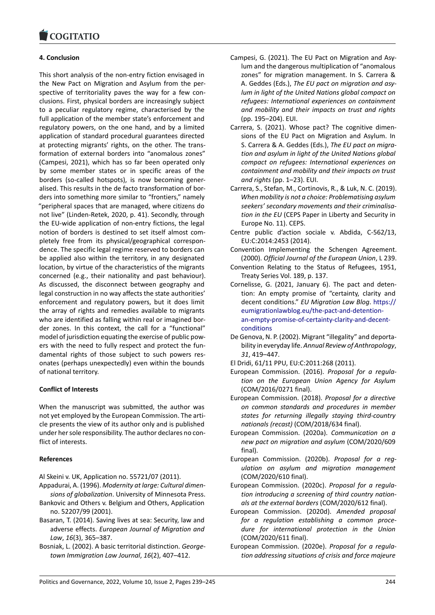#### COMITATIO

# **4. Conclusion**

[This short analysis o](https://www.cogitatiopress.com)f the non‐entry fiction envisaged in the New Pact on Migration and Asylum from the per‐ spective of territoriality paves the way for a few conclusions. First, physical borders are increasingly subject to a peculiar regulatory regime, characterised by the full application of the member state's enforcement and regulatory powers, on the one hand, and by a limited application of standard procedural guarantees directed at protecting migrants' rights, on the other. The trans‐ formation of external borders into "anomalous zones" (Campesi, 2021), which has so far been operated only by some member states or in specific areas of the borders (so-called hotspots), is now becoming generalised. This results in the de facto transformation of bor‐ ders into something more similar to "frontiers," namely "peripheral spaces that are managed, where citizens do not live" (Linden‐Retek, 2020, p. 41). Secondly, through the EU‐wide application of non‐entry fictions, the legal notion of borders is destined to set itself almost com‐ pletely free from its physical/geographical correspon‐ dence. The specific legal regime reserved to borders can be applied also within the territory, in any designated location, by virtue of the characteristics of the migrants concerned (e.g., their nationality and past behaviour). As discussed, the disconnect between geography and legal construction in no way affects the state authorities' enforcement and regulatory powers, but it does limit the array of rights and remedies available to migrants who are identified as falling within real or imagined border zones. In this context, the call for a "functional" model of jurisdiction equating the exercise of public pow‐ ers with the need to fully respect and protect the fun‐ damental rights of those subject to such powers res‐ onates (perhaps unexpectedly) even within the bounds of national territory.

### **Conflict of Interests**

When the manuscript was submitted, the author was not yet employed by the European Commission. The arti‐ cle presents the view of its author only and is published under her sole responsibility. The author declares no con‐ flict of interests.

### **References**

Al Skeini v. UK, Application no. 55721/07 (2011).

- Appadurai, A. (1996). *Modernity at large: Cultural dimen‐ sions of globalization*. University of Minnesota Press.
- Bankovic and Others v. Belgium and Others, Application no. 52207/99 (2001).
- Basaran, T. (2014). Saving lives at sea: Security, law and adverse effects. *European Journal of Migration and Law*, *16*(3), 365–387.
- Bosniak, L. (2002). A basic territorial distinction. *George‐ town Immigration Law Journal*, *16*(2), 407–412.
- Campesi, G. (2021). The EU Pact on Migration and Asy‐ lum and the dangerous multiplication of "anomalous zones" for migration management. In S. Carrera & A. Geddes (Eds.), *The EU pact on migration and asy‐ lum in light of the United Nations global compact on refugees: International experiences on containment and mobility and their impacts on trust and rights* (pp. 195–204). EUI.
- Carrera, S. (2021). Whose pact? The cognitive dimen‐ sions of the EU Pact on Migration and Asylum. In S. Carrera & A. Geddes (Eds.), *The EU pact on migra‐ tion and asylum in light of the United Nations global compact on refugees: International experiences on containment and mobility and their impacts on trust and rights* (pp. 1–23). EUI.
- Carrera, S., Stefan, M., Cortinovis, R., & Luk, N. C. (2019). *When mobility is not a choice: Problematising asylum seekers' secondary movements and their criminalisa‐ tion in the EU* (CEPS Paper in Liberty and Security in Europe No. 11). CEPS.
- Centre public d'action sociale v. Abdida, C‐562/13, EU:C:2014:2453 (2014).
- Convention Implementing the Schengen Agreement. (2000). *Official Journal of the European Union*, L 239.
- Convention Relating to the Status of Refugees, 1951, Treaty Series Vol. 189, p. 137.
- Cornelisse, G. (2021, January 6). The pact and deten‐ tion: An empty promise of "certainty, clarity and decent conditions." *EU Migration Law Blog*. https:// eumigrationlawblog.eu/the‐pact‐and‐detention‐ an‐empty‐promise‐of‐certainty‐clarity‐and‐decent‐ conditions
- De Genova, N. P. (2002). Migrant "illegality" and [deporta‐](https://eumigrationlawblog.eu/the-pact-and-detention-an-empty-promise-of-certainty-clarity-and-decent-conditions) bility in everyday life. *[Annual Review of Anthropol](https://eumigrationlawblog.eu/the-pact-and-detention-an-empty-promise-of-certainty-clarity-and-decent-conditions)ogy*, *31*[, 419–447.](https://eumigrationlawblog.eu/the-pact-and-detention-an-empty-promise-of-certainty-clarity-and-decent-conditions)

El [Dridi, 61/11](https://eumigrationlawblog.eu/the-pact-and-detention-an-empty-promise-of-certainty-clarity-and-decent-conditions) PPU, EU:C:2011:268 (2011).

- European Commission. (2016). *Proposal for a regula‐ tion on the European Union Agency for Asylum* (COM/2016/0271 final).
- European Commission. (2018). *Proposal for a directive on common standards and procedures in member states for returning illegally staying third‐country nationals (recast)* (COM/2018/634 final).
- European Commission. (2020a). *Communication on a new pact on migration and asylum* (COM/2020/609 final).
- European Commission. (2020b). *Proposal for a reg‐ ulation on asylum and migration management* (COM/2020/610 final).
- European Commission. (2020c). *Proposal for a regula‐ tion introducing a screening of third country nation‐ als at the external borders* (COM/2020/612 final).
- European Commission. (2020d). *Amended proposal for a regulation establishing a common proce‐ dure for international protection in the Union* (COM/2020/611 final).
- European Commission. (2020e). *Proposal for a regula‐ tion addressing situations of crisis and force majeure*